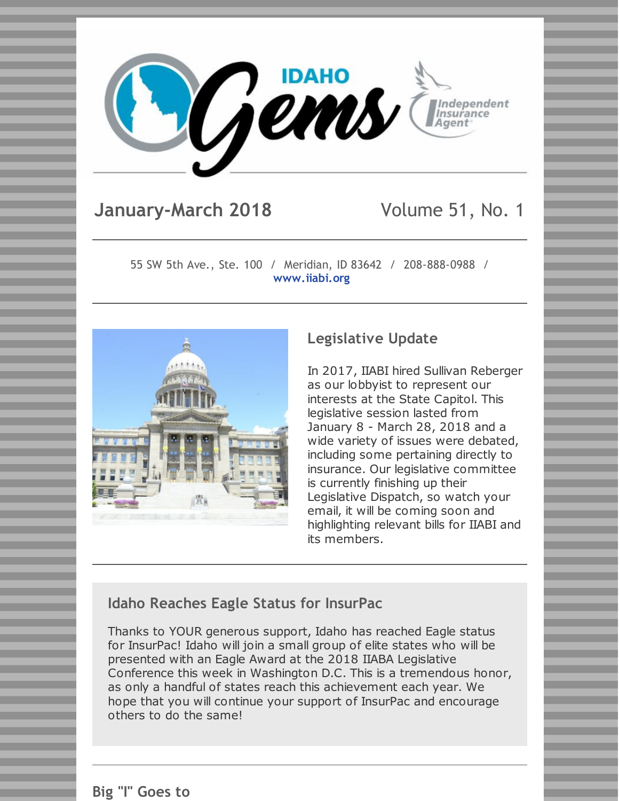

# **January-March 2018** Volume 51, No. 1

55 SW 5th Ave., Ste. 100 / Meridian, ID 83642 / 208-888-0988 / **[www.iiabi.org](http://www.iiabi.org)**



## **Legislative Update**

In 2017, IIABI hired Sullivan Reberger as our lobbyist to represent our interests at the State Capitol. This legislative session lasted from January 8 - March 28, 2018 and a wide variety of issues were debated, including some pertaining directly to insurance. Our legislative committee is currently finishing up their Legislative Dispatch, so watch your email, it will be coming soon and highlighting relevant bills for IIABI and its members.

#### **Idaho Reaches Eagle Status for InsurPac**

Thanks to YOUR generous support, Idaho has reached Eagle status for InsurPac! Idaho will join a small group of elite states who will be presented with an Eagle Award at the 2018 IIABA Legislative Conference this week in Washington D.C. This is a tremendous honor, as only a handful of states reach this achievement each year. We hope that you will continue your support of InsurPac and encourage others to do the same!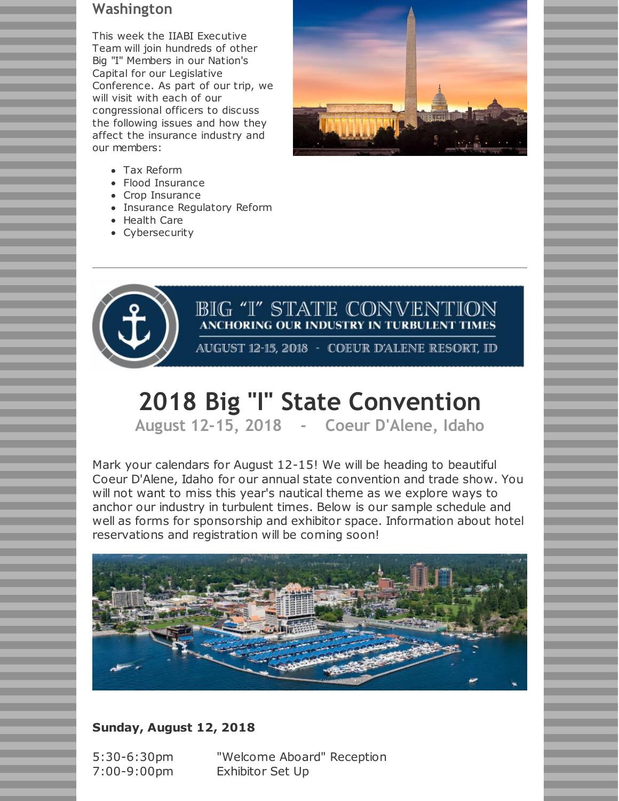#### **Washington**

This week the IIABI Executive Team will join hundreds of other Big "I" Members in our Nation's Capital for our Legislative Conference. As part of our trip, we will visit with each of our congressional officers to discuss the following issues and how they affect the insurance industry and our members:



- Tax Reform
- Flood Insurance
- Crop Insurance
- Insurance Regulatory Reform
- Health Care
- Cybersecurity



AUGUST 12-15, 2018 - COEUR D'ALENE RESORT, ID

# **2018 Big "I" State Convention**

**August 12-15, 2018 - Coeur D'Alene, Idaho**

Mark your calendars for August 12-15! We will be heading to beautiful Coeur D'Alene, Idaho for our annual state convention and trade show. You will not want to miss this year's nautical theme as we explore ways to anchor our industry in turbulent times. Below is our sample schedule and well as forms for sponsorship and exhibitor space. Information about hotel reservations and registration will be coming soon!



**Sunday, August 12, 2018**

5:30-6:30pm "Welcome Aboard" Reception 7:00-9:00pm Exhibitor Set Up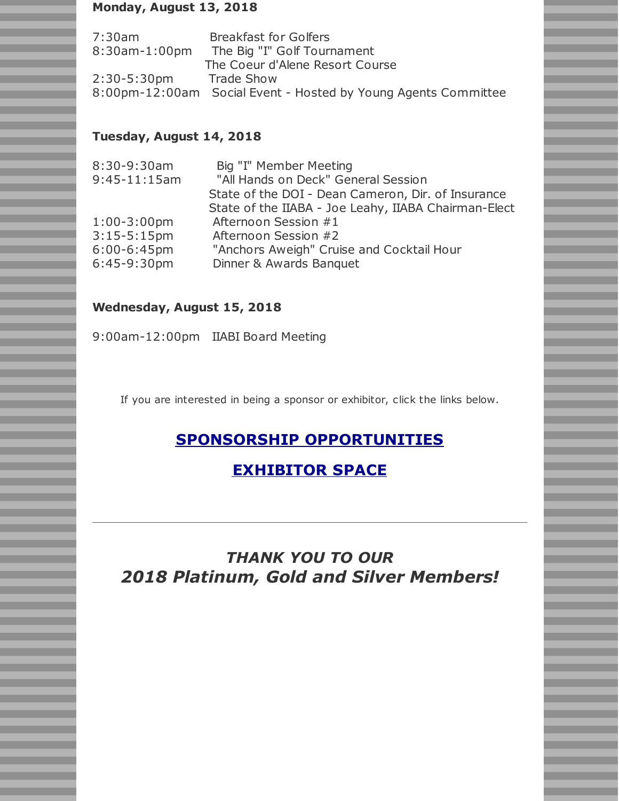#### **Monday, August 13, 2018**

| 7:30am           | <b>Breakfast for Golfers</b>                                   |
|------------------|----------------------------------------------------------------|
| $8:30$ am-1:00pm | The Big "I" Golf Tournament                                    |
|                  | The Coeur d'Alene Resort Course                                |
| $2:30 - 5:30$ pm | Trade Show                                                     |
|                  | 8:00pm-12:00am Social Event - Hosted by Young Agents Committee |

#### **Tuesday, August 14, 2018**

| 8:30-9:30am<br>$9:45-11:15am$ | Big "I" Member Meeting<br>"All Hands on Deck" General Session<br>State of the DOI - Dean Cameron, Dir. of Insurance<br>State of the IIABA - Joe Leahy, IIABA Chairman-Elect |
|-------------------------------|-----------------------------------------------------------------------------------------------------------------------------------------------------------------------------|
| $1:00-3:00$ pm                | Afternoon Session #1                                                                                                                                                        |
| $3:15-5:15$ pm                | Afternoon Session #2                                                                                                                                                        |
| $6:00 - 6:45$ pm              | "Anchors Aweigh" Cruise and Cocktail Hour                                                                                                                                   |
| $6:45-9:30$ pm                | Dinner & Awards Banquet                                                                                                                                                     |

#### **Wednesday, August 15, 2018**

9:00am-12:00pm IIABI Board Meeting

If you are interested in being a sponsor or exhibitor, click the links below.

### **SPONSORSHIP [OPPORTUNITIES](http://files.constantcontact.com/e55b1ff0201/d000bfbb-58b0-4110-b664-1df54db4bb81.pdf)**

#### **[EXHIBITOR](http://files.constantcontact.com/e55b1ff0201/b2ef1709-5426-42f3-9452-32ed678d980f.pdf) SPACE**

# *THANK YOU TO OUR 2018 Platinum, Gold and Silver Members!*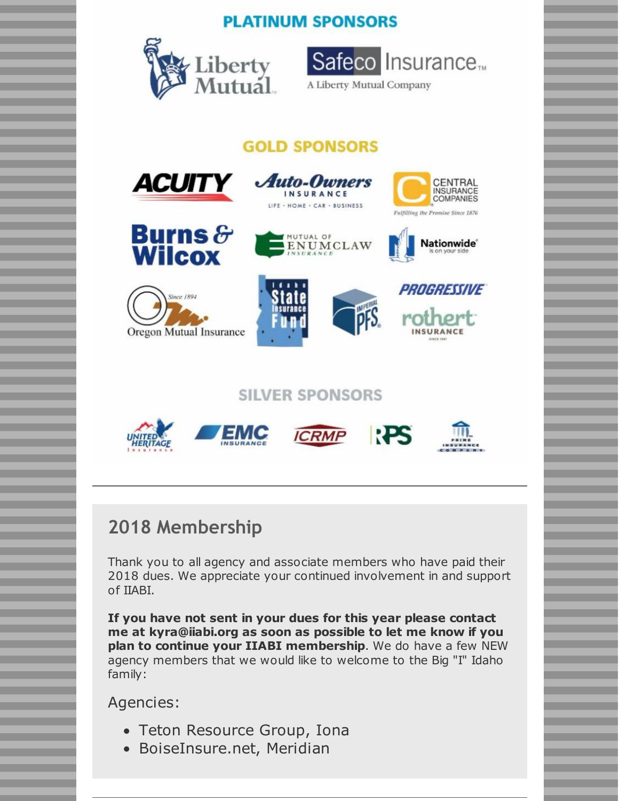# **PLATINUM SPONSORS**





A Liberty Mutual Company

# **GOLD SPONSORS**

**Auto-Owners** 

INSURANCE

LIFE . HOME . CAR . BUSINESS









ulfilling the Promise Since 1876

CENTRAL **INSURANCE** 

COMPANIES







# **SILVER SPONSORS**



# **2018 Membership**

Thank you to all agency and associate members who have paid their 2018 dues. We appreciate your continued involvement in and support of IIABI.

**If you have not sent in your dues for this year please contact me at kyra@iiabi.org as soon as possible to let me know if you plan to continue your IIABI membership**. We do have a few NEW agency members that we would like to welcome to the Big "I" Idaho family:

Agencies:

- Teton Resource Group, Iona
- BoiseInsure.net, Meridian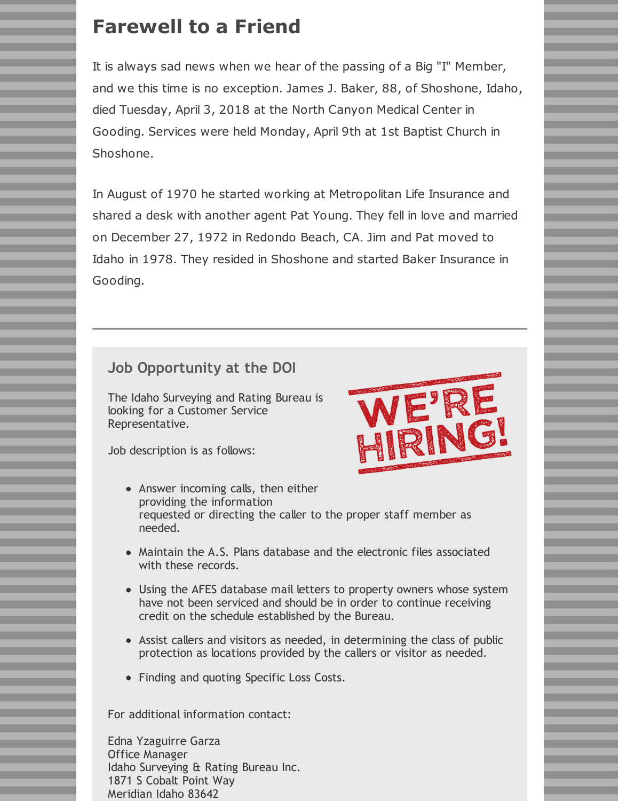# **Farewell to a Friend**

It is always sad news when we hear of the passing of a Big "I" Member, and we this time is no exception. James J. Baker, 88, of Shoshone, Idaho, died Tuesday, April 3, 2018 at the North Canyon Medical Center in Gooding. Services were held Monday, April 9th at 1st Baptist Church in Shoshone.

In August of 1970 he started working at Metropolitan Life Insurance and shared a desk with another agent Pat Young. They fell in love and married on December 27, 1972 in Redondo Beach, CA. Jim and Pat moved to Idaho in 1978. They resided in Shoshone and started Baker Insurance in Gooding.

#### **Job Opportunity at the DOI**

The Idaho Surveying and Rating Bureau is looking for a Customer Service Representative.

Job description is as follows:



- Answer incoming calls, then either providing the information requested or directing the caller to the proper staff member as needed.
- Maintain the A.S. Plans database and the electronic files associated with these records.
- Using the AFES database mail letters to property owners whose system have not been serviced and should be in order to continue receiving credit on the schedule established by the Bureau.
- Assist callers and visitors as needed, in determining the class of public protection as locations provided by the callers or visitor as needed.
- Finding and quoting Specific Loss Costs.

For additional information contact:

Edna Yzaguirre Garza Office Manager Idaho Surveying & Rating Bureau Inc. 1871 S Cobalt Point Way Meridian Idaho 83642